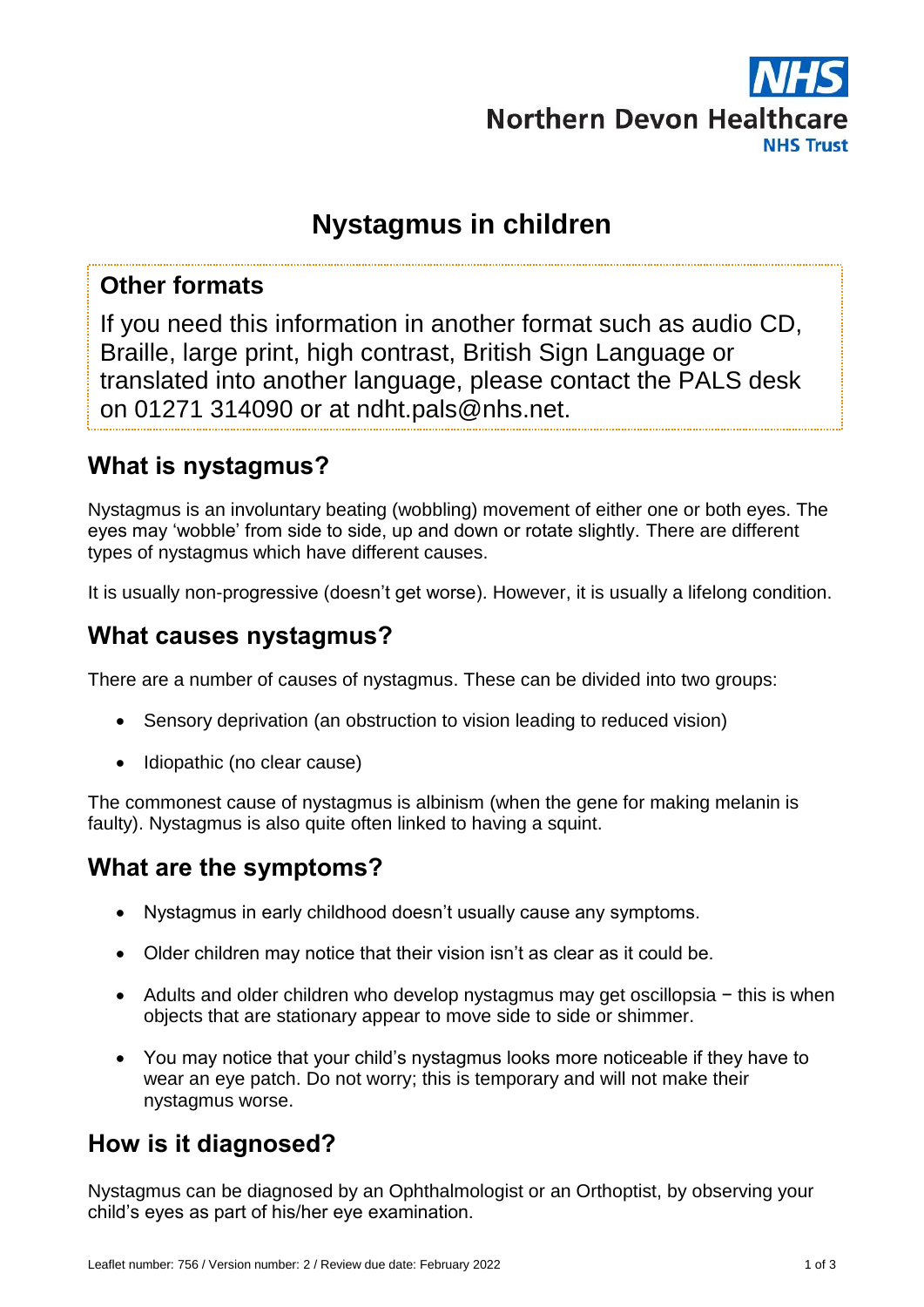

# **Nystagmus in children**

#### **Other formats**

If you need this information in another format such as audio CD, Braille, large print, high contrast, British Sign Language or translated into another language, please contact the PALS desk on 01271 314090 or at ndht.pals@nhs.net.

### **What is nystagmus?**

Nystagmus is an involuntary beating (wobbling) movement of either one or both eyes. The eyes may 'wobble' from side to side, up and down or rotate slightly. There are different types of nystagmus which have different causes.

It is usually non-progressive (doesn't get worse). However, it is usually a lifelong condition.

### **What causes nystagmus?**

There are a number of causes of nystagmus. These can be divided into two groups:

- Sensory deprivation (an obstruction to vision leading to reduced vision)
- Idiopathic (no clear cause)

The commonest cause of nystagmus is albinism (when the gene for making melanin is faulty). Nystagmus is also quite often linked to having a squint.

#### **What are the symptoms?**

- Nystagmus in early childhood doesn't usually cause any symptoms.
- Older children may notice that their vision isn't as clear as it could be.
- Adults and older children who develop nystagmus may get oscillopsia − this is when objects that are stationary appear to move side to side or shimmer.
- You may notice that your child's nystagmus looks more noticeable if they have to wear an eye patch. Do not worry; this is temporary and will not make their nystagmus worse.

### **How is it diagnosed?**

Nystagmus can be diagnosed by an Ophthalmologist or an Orthoptist, by observing your child's eyes as part of his/her eye examination.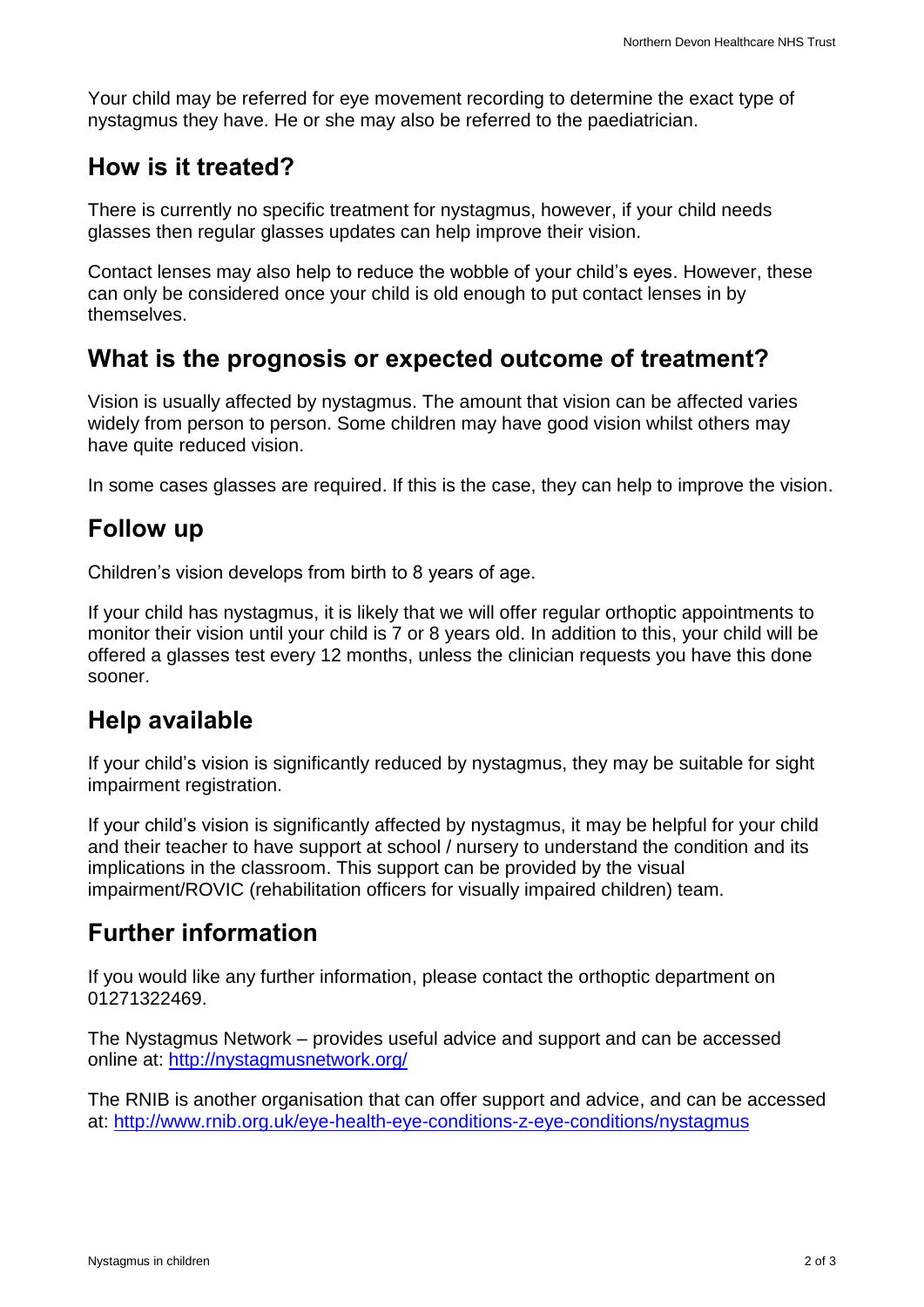Your child may be referred for eye movement recording to determine the exact type of nystagmus they have. He or she may also be referred to the paediatrician.

#### **How is it treated?**

There is currently no specific treatment for nystagmus, however, if your child needs glasses then regular glasses updates can help improve their vision.

Contact lenses may also help to reduce the wobble of your child's eyes. However, these can only be considered once your child is old enough to put contact lenses in by themselves.

## **What is the prognosis or expected outcome of treatment?**

Vision is usually affected by nystagmus. The amount that vision can be affected varies widely from person to person. Some children may have good vision whilst others may have quite reduced vision.

In some cases glasses are required. If this is the case, they can help to improve the vision.

# **Follow up**

Children's vision develops from birth to 8 years of age.

If your child has nystagmus, it is likely that we will offer regular orthoptic appointments to monitor their vision until your child is 7 or 8 years old. In addition to this, your child will be offered a glasses test every 12 months, unless the clinician requests you have this done sooner.

### **Help available**

If your child's vision is significantly reduced by nystagmus, they may be suitable for sight impairment registration.

If your child's vision is significantly affected by nystagmus, it may be helpful for your child and their teacher to have support at school / nursery to understand the condition and its implications in the classroom. This support can be provided by the visual impairment/ROVIC (rehabilitation officers for visually impaired children) team.

# **Further information**

If you would like any further information, please contact the orthoptic department on 01271322469.

The Nystagmus Network – provides useful advice and support and can be accessed online at: <http://nystagmusnetwork.org/>

The RNIB is another organisation that can offer support and advice, and can be accessed at:<http://www.rnib.org.uk/eye-health-eye-conditions-z-eye-conditions/nystagmus>